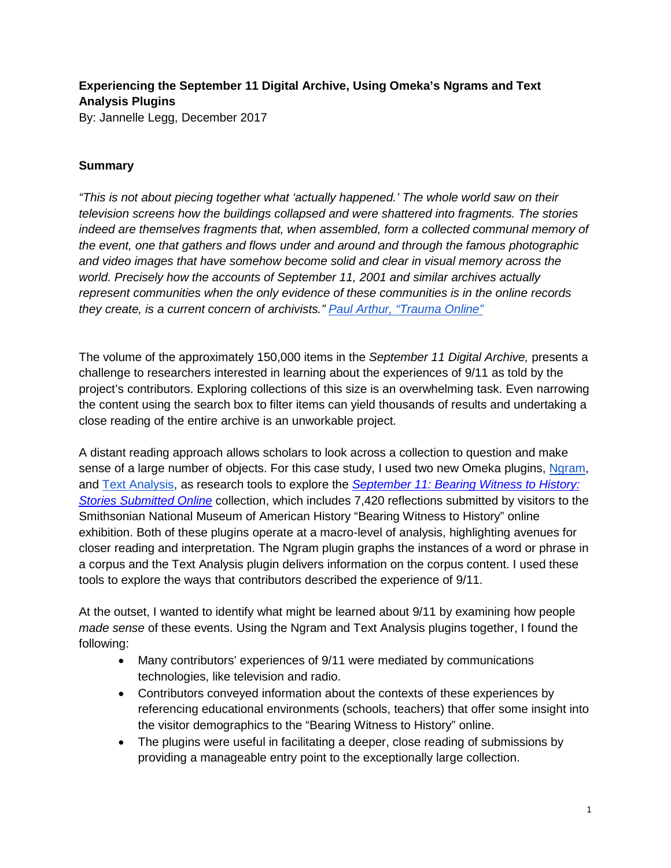# **Experiencing the September 11 Digital Archive, Using Omeka's Ngrams and Text Analysis Plugins**

By: Jannelle Legg, December 2017

## **Summary**

*"This is not about piecing together what 'actually happened.' The whole world saw on their television screens how the buildings collapsed and were shattered into fragments. The stories indeed are themselves fragments that, when assembled, form a collected communal memory of the event, one that gathers and flows under and around and through the famous photographic and video images that have somehow become solid and clear in visual memory across the world. Precisely how the accounts of September 11, 2001 and similar archives actually represent communities when the only evidence of these communities is in the online records they create, is a current concern of archivists." [Paul Arthur, "Trauma Online"](http://journals.sagepub.com/doi/abs/10.1177/1534765609350781)*

The volume of the approximately 150,000 items in the *September 11 Digital Archive,* presents a challenge to researchers interested in learning about the experiences of 9/11 as told by the project's contributors. Exploring collections of this size is an overwhelming task. Even narrowing the content using the search box to filter items can yield thousands of results and undertaking a close reading of the entire archive is an unworkable project.

A distant reading approach allows scholars to look across a collection to question and make sense of a large number of objects. For this case study, I used two new Omeka plugins, [Ngram,](http://omeka.org/codex/Plugins/NGram) and [Text Analysis,](http://omeka.org/codex/Plugins/Text_Analysis) as research tools to explore the *[September 11: Bearing Witness to History:](https://amhistory.si.edu/september11/)  [Stories Submitted Online](https://amhistory.si.edu/september11/)* collection, which includes 7,420 reflections submitted by visitors to the Smithsonian National Museum of American History "Bearing Witness to History" online exhibition. Both of these plugins operate at a macro-level of analysis, highlighting avenues for closer reading and interpretation. The Ngram plugin graphs the instances of a word or phrase in a corpus and the Text Analysis plugin delivers information on the corpus content. I used these tools to explore the ways that contributors described the experience of 9/11.

At the outset, I wanted to identify what might be learned about 9/11 by examining how people *made sense* of these events. Using the Ngram and Text Analysis plugins together, I found the following:

- Many contributors' experiences of 9/11 were mediated by communications technologies, like television and radio.
- Contributors conveyed information about the contexts of these experiences by referencing educational environments (schools, teachers) that offer some insight into the visitor demographics to the "Bearing Witness to History" online.
- The plugins were useful in facilitating a deeper, close reading of submissions by providing a manageable entry point to the exceptionally large collection.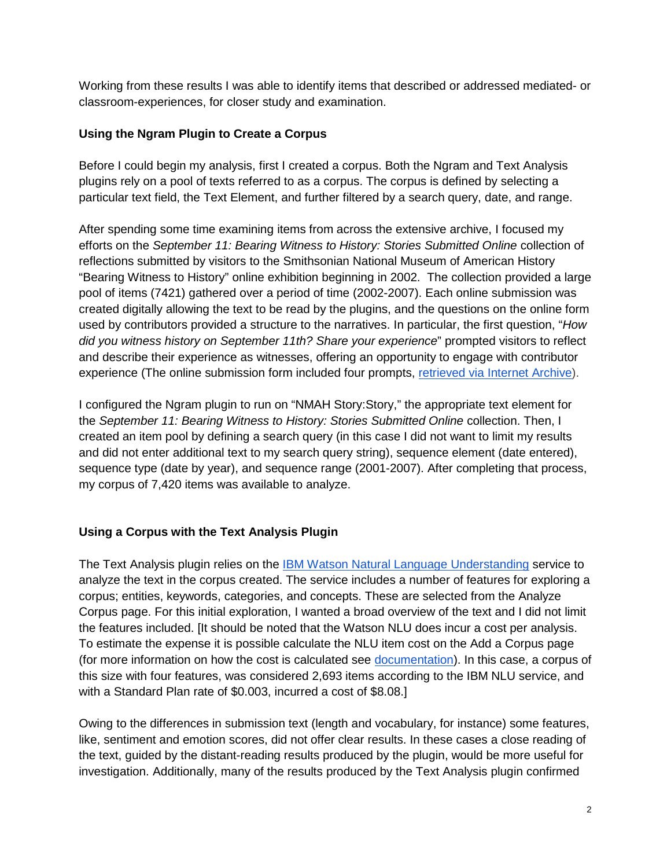Working from these results I was able to identify items that described or addressed mediated- or classroom-experiences, for closer study and examination.

#### **Using the Ngram Plugin to Create a Corpus**

Before I could begin my analysis, first I created a corpus. Both the Ngram and Text Analysis plugins rely on a pool of texts referred to as a corpus. The corpus is defined by selecting a particular text field, the Text Element, and further filtered by a search query, date, and range.

After spending some time examining items from across the extensive archive, I focused my efforts on the *September 11: Bearing Witness to History: Stories Submitted Online* collection of reflections submitted by visitors to the Smithsonian National Museum of American History "Bearing Witness to History" online exhibition beginning in 2002. The collection provided a large pool of items (7421) gathered over a period of time (2002-2007). Each online submission was created digitally allowing the text to be read by the plugins, and the questions on the online form used by contributors provided a structure to the narratives. In particular, the first question, "*How did you witness history on September 11th? Share your experience*" prompted visitors to reflect and describe their experience as witnesses, offering an opportunity to engage with contributor experience (The online submission form included four prompts, [retrieved via Internet Archive\)](https://web.archive.org/web/20060214053151/http:/911digitalarchive.org/smithsonian/add_story.html).

I configured the Ngram plugin to run on "NMAH Story:Story," the appropriate text element for the *September 11: Bearing Witness to History: Stories Submitted Online* collection. Then, I created an item pool by defining a search query (in this case I did not want to limit my results and did not enter additional text to my search query string), sequence element (date entered), sequence type (date by year), and sequence range (2001-2007). After completing that process, my corpus of 7,420 items was available to analyze.

### **Using a Corpus with the Text Analysis Plugin**

The Text Analysis plugin relies on the [IBM Watson Natural Language Understanding](https://www.ibm.com/watson/developercloud/natural-language-understanding.html) service to analyze the text in the corpus created. The service includes a number of features for exploring a corpus; entities, keywords, categories, and concepts. These are selected from the Analyze Corpus page. For this initial exploration, I wanted a broad overview of the text and I did not limit the features included. [It should be noted that the Watson NLU does incur a cost per analysis. To estimate the expense it is possible calculate the NLU item cost on the Add a Corpus page (for more information on how the cost is calculated see [documentation\)](https://www.ibm.com/watson/developercloud/natural-language-understanding.html#pricing-block). In this case, a corpus of this size with four features, was considered 2,693 items according to the IBM NLU service, and with a Standard Plan rate of \$0.003, incurred a cost of \$8.08.]

Owing to the differences in submission text (length and vocabulary, for instance) some features, like, sentiment and emotion scores, did not offer clear results. In these cases a close reading of the text, guided by the distant-reading results produced by the plugin, would be more useful for investigation. Additionally, many of the results produced by the Text Analysis plugin confirmed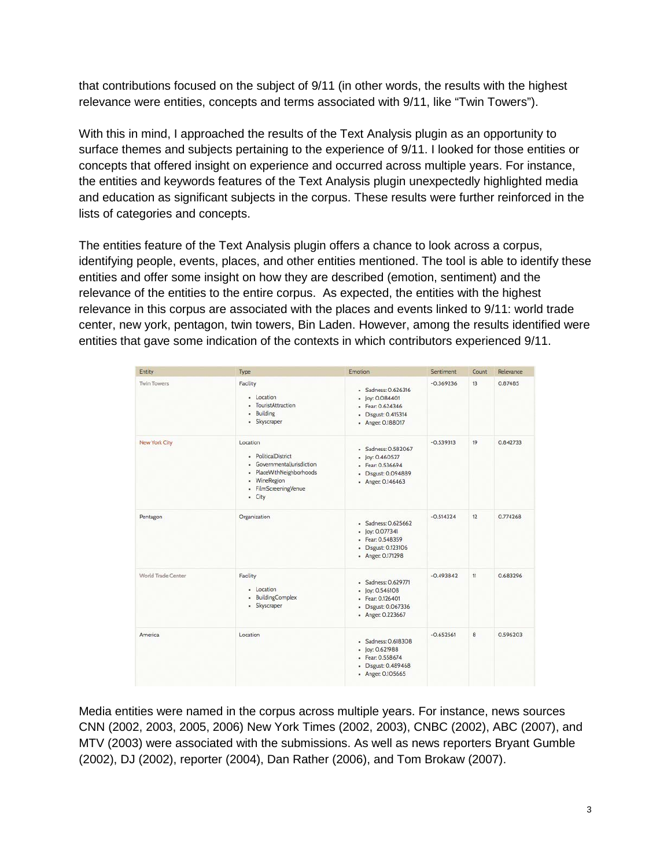that contributions focused on the subject of 9/11 (in other words, the results with the highest relevance were entities, concepts and terms associated with 9/11, like "Twin Towers").

With this in mind, I approached the results of the Text Analysis plugin as an opportunity to surface themes and subjects pertaining to the experience of 9/11. I looked for those entities or concepts that offered insight on experience and occurred across multiple years. For instance, the entities and keywords features of the Text Analysis plugin unexpectedly highlighted media and education as significant subjects in the corpus. These results were further reinforced in the lists of categories and concepts.

The entities feature of the Text Analysis plugin offers a chance to look across a corpus, identifying people, events, places, and other entities mentioned. The tool is able to identify these entities and offer some insight on how they are described (emotion, sentiment) and the relevance of the entities to the entire corpus. As expected, the entities with the highest relevance in this corpus are associated with the places and events linked to 9/11: world trade center, new york, pentagon, twin towers, Bin Laden. However, among the results identified were entities that gave some indication of the contexts in which contributors experienced 9/11.

| Entity               | Type                                                                                                                                           | <b>Emotion</b>                                                                                              | Sentiment   | Count | Relevance |
|----------------------|------------------------------------------------------------------------------------------------------------------------------------------------|-------------------------------------------------------------------------------------------------------------|-------------|-------|-----------|
| <b>Twin Towers</b>   | Facility<br>- Location<br>- TouristAttraction<br>Building<br>٠<br>· Skyscraper                                                                 | - Sadness: 0.626316<br>• Joy: 0.084401<br>· Fear: 0.624346<br>Disgust: 0.415314<br>٠<br>- Anger: 0.188017   | $-0.369236$ | 13    | 0.87485   |
| <b>New York City</b> | Location<br>· PoliticalDistrict<br>· GovernmentalJurisdiction<br>PlaceWithNeighborhoods<br>٠<br>· WineRegion<br>- FilmScreeningVenue<br>- City | - Sadness: 0.582067<br>- Joy: 0.460527<br>- Fear: 0.536694<br>- Disgust: 0.094889<br>- Anger: 0.146463      | $-0.539313$ | 19    | 0.842733  |
| Pentagon             | Organization                                                                                                                                   | - Sadness: 0.625662<br>$-$ Joy: 0.077341<br>- Fear: 0.548359<br>Disgust: 0.123106<br>٠<br>- Anger: 0.171298 | $-0.514324$ | 12    | 0.774268  |
| World Trade Center   | Facility<br>- Location<br>- BuildingComplex<br>· Skyscraper                                                                                    | - Sadness: 0.629771<br>$-$ joy: 0.546108<br>- Fear: 0.126401<br>- Disgust: 0.067336<br>- Anger: 0.223667    | $-0.493842$ | 11    | 0.683296  |
| America              | Location                                                                                                                                       | - Sadness: 0.618308<br>· Joy: 0.621988<br>- Fear: 0.558674<br>Disgust: 0.489468<br>٠<br>- Anger: 0.105665   | $-0.652561$ | 8     | 0.596203  |

Media entities were named in the corpus across multiple years. For instance, news sources CNN (2002, 2003, 2005, 2006) New York Times (2002, 2003), CNBC (2002), ABC (2007), and MTV (2003) were associated with the submissions. As well as news reporters Bryant Gumble (2002), DJ (2002), reporter (2004), Dan Rather (2006), and Tom Brokaw (2007).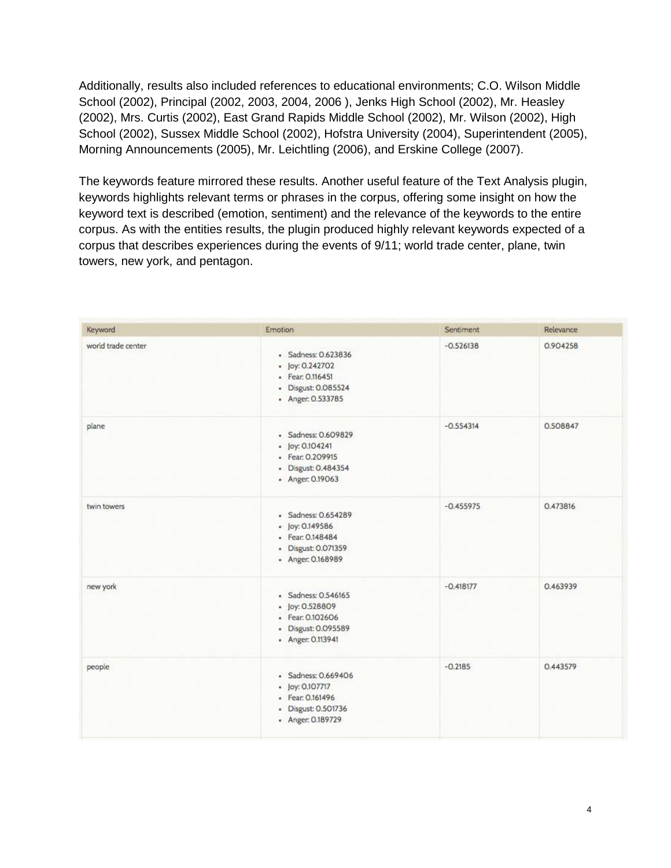Additionally, results also included references to educational environments; C.O. Wilson Middle School (2002), Principal (2002, 2003, 2004, 2006 ), Jenks High School (2002), Mr. Heasley (2002), Mrs. Curtis (2002), East Grand Rapids Middle School (2002), Mr. Wilson (2002), High School (2002), Sussex Middle School (2002), Hofstra University (2004), Superintendent (2005), Morning Announcements (2005), Mr. Leichtling (2006), and Erskine College (2007).

The keywords feature mirrored these results. Another useful feature of the Text Analysis plugin, keywords highlights relevant terms or phrases in the corpus, offering some insight on how the keyword text is described (emotion, sentiment) and the relevance of the keywords to the entire corpus. As with the entities results, the plugin produced highly relevant keywords expected of a corpus that describes experiences during the events of 9/11; world trade center, plane, twin towers, new york, and pentagon.

| Keyword            | Emotion                                                                                                | Sentiment   | Relevance |
|--------------------|--------------------------------------------------------------------------------------------------------|-------------|-----------|
| world trade center | - Sadness: 0.623836<br>- Joy: 0.242702<br>- Fear: 0.116451<br>- Disgust: 0.085524<br>- Anger: 0.533785 | $-0.526138$ | 0.904258  |
| plane              | - Sadness: 0.609829<br>• Joy: 0.104241<br>· Fear: 0.209915<br>- Disgust: 0.484354<br>- Anger: 0.19063  | $-0.554314$ | 0.508847  |
| twin towers        | · Sadness: 0.654289<br>• Joy: 0.149586<br>· Fear: 0.148484<br>• Disgust: 0.071359<br>- Anger: 0.168989 | $-0.455975$ | 0.473816  |
| new york           | - Sadness: 0.546165<br>• Joy: 0.528809<br>- Fear: 0.102606<br>· Disgust: 0.095589<br>- Anger: 0.113941 | $-0.418177$ | 0.463939  |
| people             | · Sadness: 0.669406<br>• Joy: 0.107717<br>· Fear: 0.161496<br>- Disgust: 0.501736<br>- Anger: 0.189729 | $-0.2185$   | 0.443579  |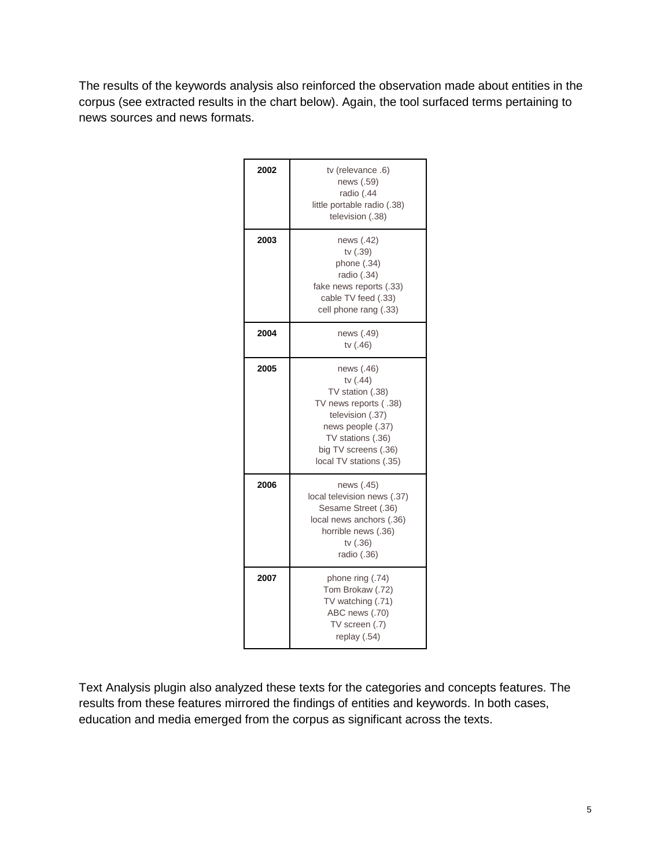The results of the keywords analysis also reinforced the observation made about entities in the corpus (see extracted results in the chart below). Again, the tool surfaced terms pertaining to news sources and news formats.

| 2002 | tv (relevance .6)<br>news (.59)<br>radio (.44<br>little portable radio (.38)<br>television (.38)                                                                                     |
|------|--------------------------------------------------------------------------------------------------------------------------------------------------------------------------------------|
| 2003 | news (.42)<br>tv (.39)<br>phone (.34)<br>radio (.34)<br>fake news reports (.33)<br>cable TV feed (.33)<br>cell phone rang (.33)                                                      |
| 2004 | news (.49)<br>tv (.46)                                                                                                                                                               |
| 2005 | news (.46)<br>tv (.44)<br>TV station (.38)<br>TV news reports (.38)<br>television (.37)<br>news people (.37)<br>TV stations (.36)<br>big TV screens (.36)<br>local TV stations (.35) |
| 2006 | news (.45)<br>local television news (.37)<br>Sesame Street (.36)<br>local news anchors (.36)<br>horrible news (.36)<br>tv (.36)<br>radio (.36)                                       |
| 2007 | phone ring (.74)<br>Tom Brokaw (.72)<br>TV watching (.71)<br>ABC news (.70)<br>TV screen (.7)<br>replay (.54)                                                                        |

Text Analysis plugin also analyzed these texts for the categories and concepts features. The results from these features mirrored the findings of entities and keywords. In both cases, education and media emerged from the corpus as significant across the texts.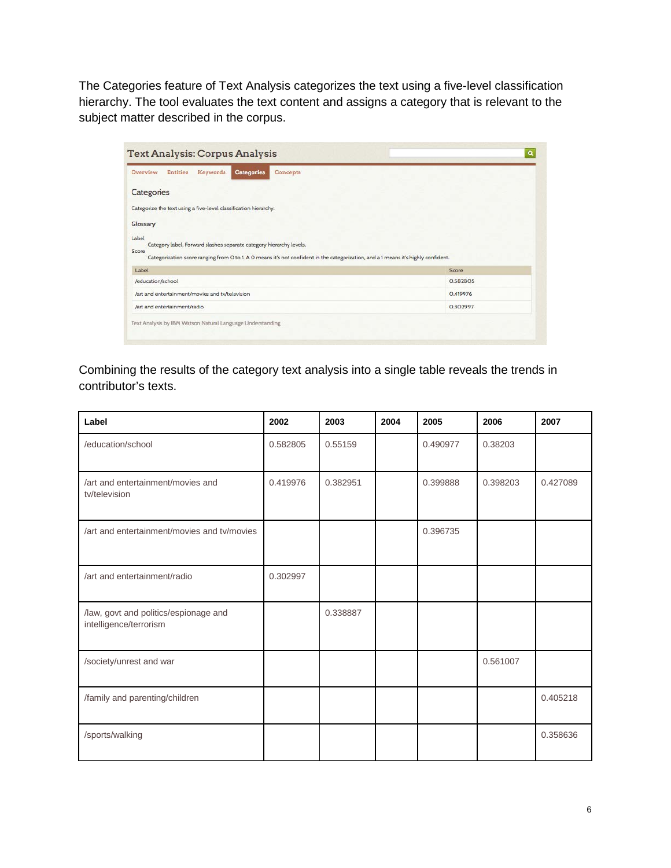The Categories feature of Text Analysis categorizes the text using a five-level classification hierarchy. The tool evaluates the text content and assigns a category that is relevant to the subject matter described in the corpus.

| <b>Entities</b><br>Keywords<br>Categories<br>Overview<br>Concepts                                                                                                                                         |          |
|-----------------------------------------------------------------------------------------------------------------------------------------------------------------------------------------------------------|----------|
| Categories                                                                                                                                                                                                |          |
| Categorize the text using a five-level classification hierarchy.                                                                                                                                          |          |
| Glossary                                                                                                                                                                                                  |          |
|                                                                                                                                                                                                           |          |
| Category label. Forward slashes separate category hierarchy levels.<br>Categorization score ranging from 0 to 1. A 0 means it's not confident in the categorization, and a 1 means it's highly confident. |          |
| Label                                                                                                                                                                                                     | Score    |
| /education/school                                                                                                                                                                                         | 0.582805 |
|                                                                                                                                                                                                           | 0.419976 |
| Label<br>Score<br>/art and entertainment/movies and ty/television<br>/art and entertainment/radio                                                                                                         | 0.302997 |

Combining the results of the category text analysis into a single table reveals the trends in contributor's texts.

| Label                                                           | 2002     | 2003     | 2004 | 2005     | 2006     | 2007     |
|-----------------------------------------------------------------|----------|----------|------|----------|----------|----------|
| /education/school                                               | 0.582805 | 0.55159  |      | 0.490977 | 0.38203  |          |
| /art and entertainment/movies and<br>tv/television              | 0.419976 | 0.382951 |      | 0.399888 | 0.398203 | 0.427089 |
| /art and entertainment/movies and ty/movies                     |          |          |      | 0.396735 |          |          |
| /art and entertainment/radio                                    | 0.302997 |          |      |          |          |          |
| /law, govt and politics/espionage and<br>intelligence/terrorism |          | 0.338887 |      |          |          |          |
| /society/unrest and war                                         |          |          |      |          | 0.561007 |          |
| /family and parenting/children                                  |          |          |      |          |          | 0.405218 |
| /sports/walking                                                 |          |          |      |          |          | 0.358636 |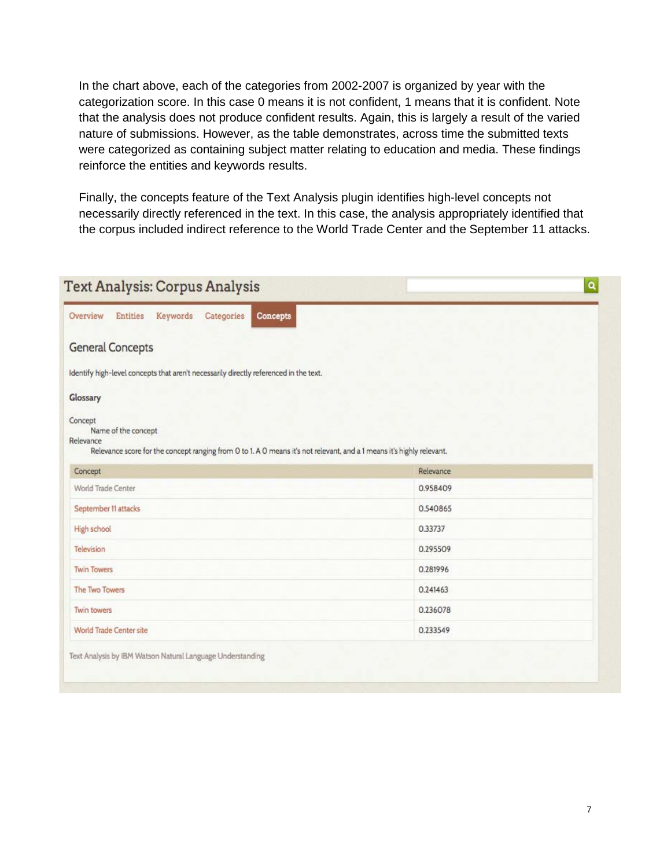In the chart above, each of the categories from 2002-2007 is organized by year with the categorization score. In this case 0 means it is not confident, 1 means that it is confident. Note that the analysis does not produce confident results. Again, this is largely a result of the varied nature of submissions. However, as the table demonstrates, across time the submitted texts were categorized as containing subject matter relating to education and media. These findings reinforce the entities and keywords results.

Finally, the concepts feature of the Text Analysis plugin identifies high-level concepts not necessarily directly referenced in the text. In this case, the analysis appropriately identified that the corpus included indirect reference to the World Trade Center and the September 11 attacks.

| Overview<br><b>Entities</b><br>Keywords<br>Categories<br><b>Concepts</b>                                                                                             |           |
|----------------------------------------------------------------------------------------------------------------------------------------------------------------------|-----------|
| <b>General Concepts</b>                                                                                                                                              |           |
| Identify high-level concepts that aren't necessarily directly referenced in the text.                                                                                |           |
| Glossary                                                                                                                                                             |           |
| Concept<br>Name of the concept<br>Relevance<br>Relevance score for the concept ranging from O to 1. A O means it's not relevant, and a 1 means it's highly relevant. |           |
| Concept                                                                                                                                                              | Relevance |
| World Trade Center                                                                                                                                                   | 0.958409  |
|                                                                                                                                                                      |           |
|                                                                                                                                                                      | 0.540865  |
|                                                                                                                                                                      | 0.33737   |
| September 11 attacks<br>High school<br>Television                                                                                                                    | 0.295509  |
|                                                                                                                                                                      | 0.281996  |
| <b>Twin Towers</b><br>The Two Towers                                                                                                                                 | 0.241463  |
| Twin towers                                                                                                                                                          | 0.236078  |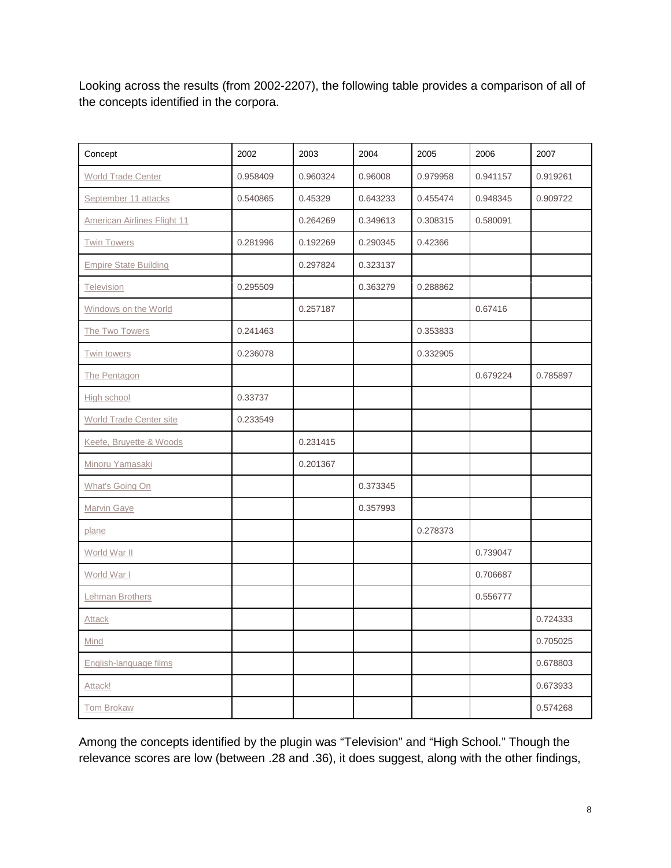Looking across the results (from 2002-2207), the following table provides a comparison of all of the concepts identified in the corpora.

| Concept                            | 2002     | 2003     | 2004     | 2005     | 2006     | 2007     |
|------------------------------------|----------|----------|----------|----------|----------|----------|
| World Trade Center                 | 0.958409 | 0.960324 | 0.96008  | 0.979958 | 0.941157 | 0.919261 |
| September 11 attacks               | 0.540865 | 0.45329  | 0.643233 | 0.455474 | 0.948345 | 0.909722 |
| <b>American Airlines Flight 11</b> |          | 0.264269 | 0.349613 | 0.308315 | 0.580091 |          |
| <b>Twin Towers</b>                 | 0.281996 | 0.192269 | 0.290345 | 0.42366  |          |          |
| <b>Empire State Building</b>       |          | 0.297824 | 0.323137 |          |          |          |
| Television                         | 0.295509 |          | 0.363279 | 0.288862 |          |          |
| Windows on the World               |          | 0.257187 |          |          | 0.67416  |          |
| The Two Towers                     | 0.241463 |          |          | 0.353833 |          |          |
| Twin towers                        | 0.236078 |          |          | 0.332905 |          |          |
| The Pentagon                       |          |          |          |          | 0.679224 | 0.785897 |
| High school                        | 0.33737  |          |          |          |          |          |
| World Trade Center site            | 0.233549 |          |          |          |          |          |
| Keefe, Bruyette & Woods            |          | 0.231415 |          |          |          |          |
| Minoru Yamasaki                    |          | 0.201367 |          |          |          |          |
| What's Going On                    |          |          | 0.373345 |          |          |          |
| Marvin Gaye                        |          |          | 0.357993 |          |          |          |
| plane                              |          |          |          | 0.278373 |          |          |
| World War II                       |          |          |          |          | 0.739047 |          |
| World War I                        |          |          |          |          | 0.706687 |          |
| Lehman Brothers                    |          |          |          |          | 0.556777 |          |
| <b>Attack</b>                      |          |          |          |          |          | 0.724333 |
| Mind                               |          |          |          |          |          | 0.705025 |
| English-language films             |          |          |          |          |          | 0.678803 |
| Attack!                            |          |          |          |          |          | 0.673933 |
| Tom Brokaw                         |          |          |          |          |          | 0.574268 |

Among the concepts identified by the plugin was "Television" and "High School." Though the relevance scores are low (between .28 and .36), it does suggest, along with the other findings,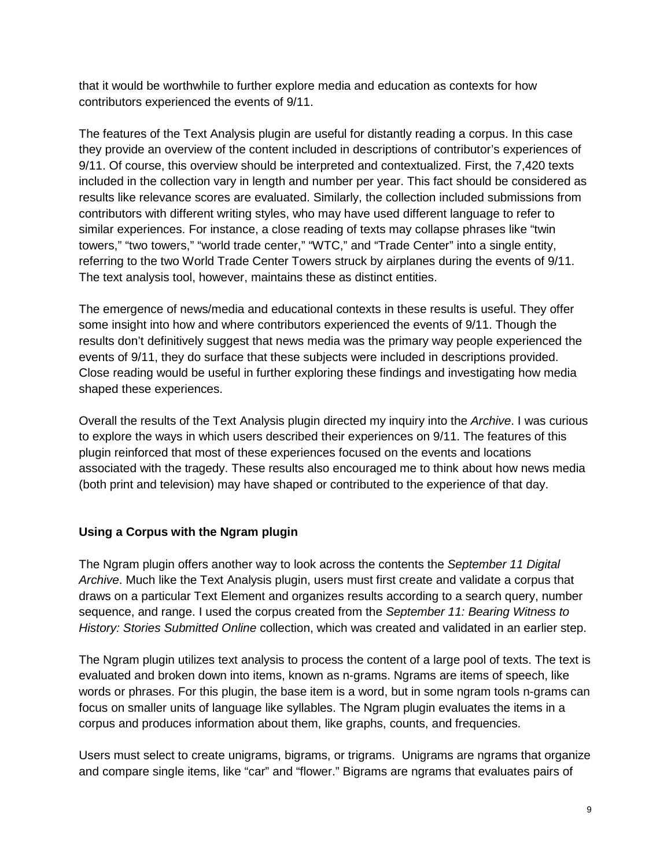that it would be worthwhile to further explore media and education as contexts for how contributors experienced the events of 9/11.

The features of the Text Analysis plugin are useful for distantly reading a corpus. In this case they provide an overview of the content included in descriptions of contributor's experiences of 9/11. Of course, this overview should be interpreted and contextualized. First, the 7,420 texts included in the collection vary in length and number per year. This fact should be considered as results like relevance scores are evaluated. Similarly, the collection included submissions from contributors with different writing styles, who may have used different language to refer to similar experiences. For instance, a close reading of texts may collapse phrases like "twin towers," "two towers," "world trade center," "WTC," and "Trade Center" into a single entity, referring to the two World Trade Center Towers struck by airplanes during the events of 9/11. The text analysis tool, however, maintains these as distinct entities.

The emergence of news/media and educational contexts in these results is useful. They offer some insight into how and where contributors experienced the events of 9/11. Though the results don't definitively suggest that news media was the primary way people experienced the events of 9/11, they do surface that these subjects were included in descriptions provided. Close reading would be useful in further exploring these findings and investigating how media shaped these experiences.

Overall the results of the Text Analysis plugin directed my inquiry into the *Archive*. I was curious to explore the ways in which users described their experiences on 9/11. The features of this plugin reinforced that most of these experiences focused on the events and locations associated with the tragedy. These results also encouraged me to think about how news media (both print and television) may have shaped or contributed to the experience of that day.

### **Using a Corpus with the Ngram plugin**

The Ngram plugin offers another way to look across the contents the *September 11 Digital Archive*. Much like the Text Analysis plugin, users must first create and validate a corpus that draws on a particular Text Element and organizes results according to a search query, number sequence, and range. I used the corpus created from the *September 11: Bearing Witness to History: Stories Submitted Online* collection, which was created and validated in an earlier step.

The Ngram plugin utilizes text analysis to process the content of a large pool of texts. The text is evaluated and broken down into items, known as n-grams. Ngrams are items of speech, like words or phrases. For this plugin, the base item is a word, but in some ngram tools n-grams can focus on smaller units of language like syllables. The Ngram plugin evaluates the items in a corpus and produces information about them, like graphs, counts, and frequencies.

Users must select to create unigrams, bigrams, or trigrams. Unigrams are ngrams that organize and compare single items, like "car" and "flower." Bigrams are ngrams that evaluates pairs of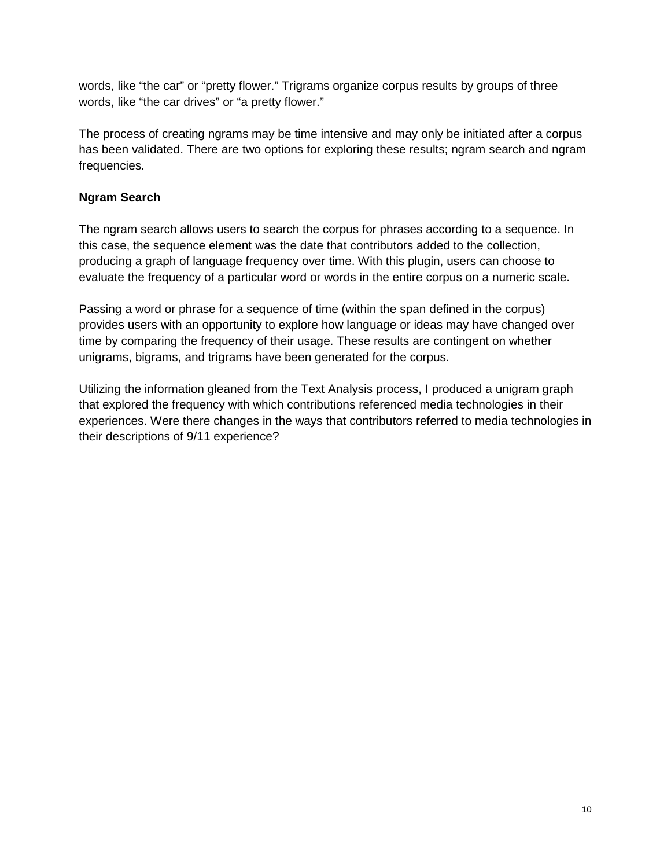words, like "the car" or "pretty flower." Trigrams organize corpus results by groups of three words, like "the car drives" or "a pretty flower."

The process of creating ngrams may be time intensive and may only be initiated after a corpus has been validated. There are two options for exploring these results; ngram search and ngram frequencies.

#### **Ngram Search**

The ngram search allows users to search the corpus for phrases according to a sequence. In this case, the sequence element was the date that contributors added to the collection, producing a graph of language frequency over time. With this plugin, users can choose to evaluate the frequency of a particular word or words in the entire corpus on a numeric scale.

Passing a word or phrase for a sequence of time (within the span defined in the corpus) provides users with an opportunity to explore how language or ideas may have changed over time by comparing the frequency of their usage. These results are contingent on whether unigrams, bigrams, and trigrams have been generated for the corpus.

Utilizing the information gleaned from the Text Analysis process, I produced a unigram graph that explored the frequency with which contributions referenced media technologies in their experiences. Were there changes in the ways that contributors referred to media technologies in their descriptions of 9/11 experience?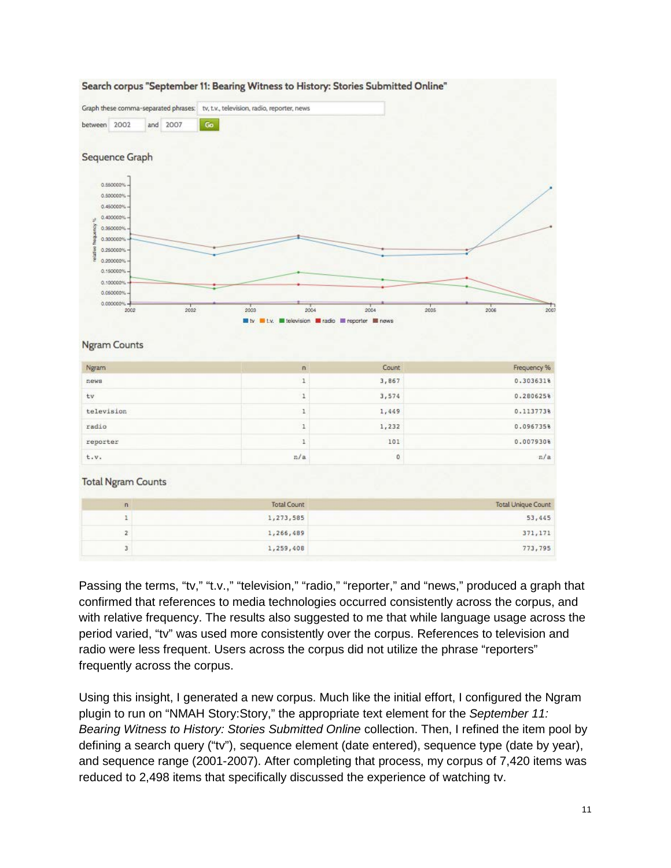

#### Search corpus "September 11: Bearing Witness to History: Stories Submitted Online"

Passing the terms, "tv," "t.v.," "television," "radio," "reporter," and "news," produced a graph that confirmed that references to media technologies occurred consistently across the corpus, and with relative frequency. The results also suggested to me that while language usage across the period varied, "tv" was used more consistently over the corpus. References to television and radio were less frequent. Users across the corpus did not utilize the phrase "reporters" frequently across the corpus.

1,266,489

1,259,408

 $\mathbf{Z}$ 

 $\overline{3}$ 

Using this insight, I generated a new corpus. Much like the initial effort, I configured the Ngram plugin to run on "NMAH Story:Story," the appropriate text element for the *September 11: Bearing Witness to History: Stories Submitted Online* collection. Then, I refined the item pool by defining a search query ("tv"), sequence element (date entered), sequence type (date by year), and sequence range (2001-2007). After completing that process, my corpus of 7,420 items was reduced to 2,498 items that specifically discussed the experience of watching tv.

371,171 773,795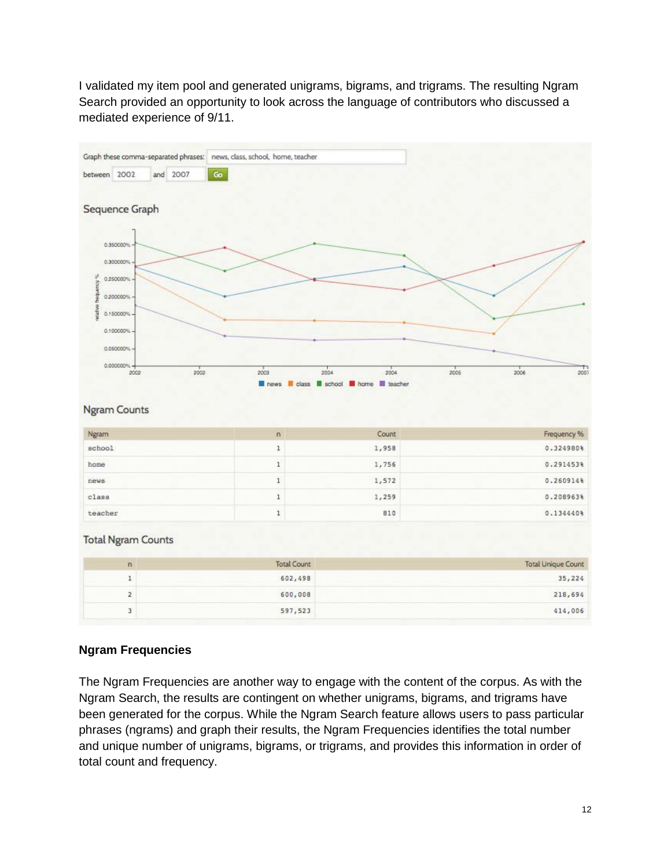I validated my item pool and generated unigrams, bigrams, and trigrams. The resulting Ngram Search provided an opportunity to look across the language of contributors who discussed a mediated experience of 9/11.

|                    |                                                                                                                          |     |      | Graph these comma-separated phrases: news, class, school, home, teacher |             |                    |                              |      |                           |
|--------------------|--------------------------------------------------------------------------------------------------------------------------|-----|------|-------------------------------------------------------------------------|-------------|--------------------|------------------------------|------|---------------------------|
| between 2002       |                                                                                                                          | and | 2007 | Go                                                                      |             |                    |                              |      |                           |
| wished frequency % | Sequence Graph<br>0.350000%<br>0.300000%<br>0.250000%<br>0.200000%<br>0.150000%<br>0.100000%<br>0.050000%<br>0.000000% - |     | 2002 |                                                                         | 2003        | 2004               | 2004                         | 2005 | 2007<br>2006              |
|                    | 2002<br><b>Ngram Counts</b>                                                                                              |     |      |                                                                         | news        |                    | class school home is teacher |      |                           |
| Ngram              |                                                                                                                          |     |      |                                                                         | 'n          |                    | Count                        |      | Frequency %               |
| school             |                                                                                                                          |     |      |                                                                         | $\mathbf 1$ |                    | 1,958                        |      | 0.324980%                 |
| home               |                                                                                                                          |     |      |                                                                         | $\,$ 1      |                    | 1,756                        |      | 0.291453%                 |
| news               |                                                                                                                          |     |      |                                                                         | $\mathbf 1$ |                    | 1,572                        |      | 0.260914%                 |
| class              |                                                                                                                          |     |      |                                                                         | $\mathbf 1$ |                    | 1,259                        |      | 0.208963%                 |
| teacher            |                                                                                                                          |     |      |                                                                         | ı           |                    | 810                          |      | 0.134440%                 |
|                    | <b>Total Ngram Counts</b>                                                                                                |     |      |                                                                         |             |                    |                              |      |                           |
|                    | $\overline{\mathsf{n}}$                                                                                                  |     |      |                                                                         |             | <b>Total Count</b> |                              |      | <b>Total Unique Count</b> |
|                    | $\mathbf{1}$                                                                                                             |     |      |                                                                         |             | 602,498            |                              |      | 35,224                    |
|                    | $\overline{2}$                                                                                                           |     |      |                                                                         |             | 600,008            |                              |      | 218,694                   |
|                    | 3                                                                                                                        |     |      |                                                                         |             | 597,523            |                              |      | 414,006                   |

### **Ngram Frequencies**

The Ngram Frequencies are another way to engage with the content of the corpus. As with the Ngram Search, the results are contingent on whether unigrams, bigrams, and trigrams have been generated for the corpus. While the Ngram Search feature allows users to pass particular phrases (ngrams) and graph their results, the Ngram Frequencies identifies the total number and unique number of unigrams, bigrams, or trigrams, and provides this information in order of total count and frequency.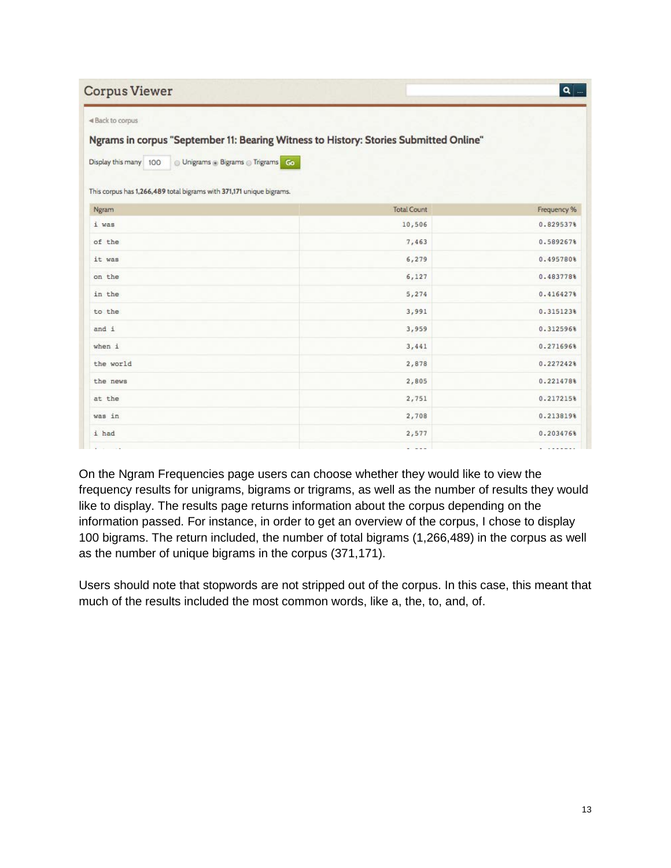| <b>Corpus Viewer</b><br><br>Back to corpus                           |                                                                                       | $\mathbf{a}$ |
|----------------------------------------------------------------------|---------------------------------------------------------------------------------------|--------------|
| O Unigrams @ Bigrams @ Trigrams Go<br>Display this many 100          | Ngrams in corpus "September 11: Bearing Witness to History: Stories Submitted Online" |              |
| This corpus has 1,266,489 total bigrams with 371,171 unique bigrams. |                                                                                       |              |
| Ngram                                                                | <b>Total Count</b>                                                                    | Frequency %  |
| i was                                                                | 10,506                                                                                | 0.829537%    |
| of the                                                               | 7,463                                                                                 | 0.589267%    |
| it was                                                               | 6,279                                                                                 | 0.495780%    |
| on the                                                               | 6,127                                                                                 | 0.483778%    |
| in the                                                               | 5,274                                                                                 | 0.4164278    |
| to the                                                               | 3,991                                                                                 | 0.315123%    |
| and i                                                                | 3,959                                                                                 | 0.312596%    |
| when i                                                               | 3,441                                                                                 | 0.271696%    |
| the world                                                            | 2,878                                                                                 | 0.2272428    |
| the news                                                             | 2,805                                                                                 | 0.221478%    |
| at the                                                               | 2,751                                                                                 | 0.217215%    |
| was in                                                               | 2,708                                                                                 | 0.213819%    |
| i had                                                                | 2,577                                                                                 | 0.203476%    |

On the Ngram Frequencies page users can choose whether they would like to view the frequency results for unigrams, bigrams or trigrams, as well as the number of results they would like to display. The results page returns information about the corpus depending on the information passed. For instance, in order to get an overview of the corpus, I chose to display 100 bigrams. The return included, the number of total bigrams (1,266,489) in the corpus as well as the number of unique bigrams in the corpus (371,171).

Users should note that stopwords are not stripped out of the corpus. In this case, this meant that much of the results included the most common words, like a, the, to, and, of.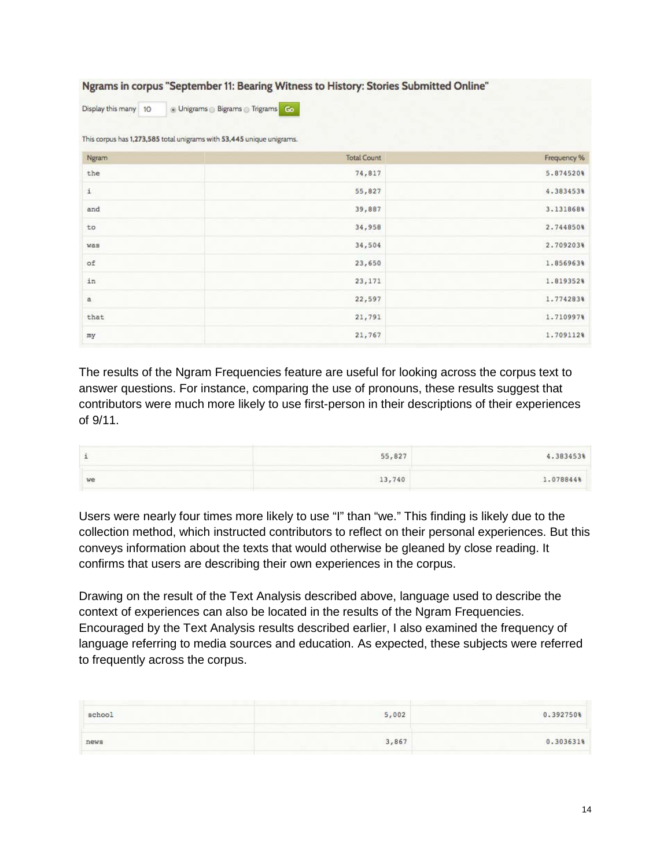#### Ngrams in corpus "September 11: Bearing Witness to History: Stories Submitted Online"

Display this many 10 @ Unigrams @ Bigrams @ Trigrams Go

This corpus has 1,273,585 total unigrams with 53,445 unique unigrams.

| Ngram        | <b>Total Count</b> | Frequency % |
|--------------|--------------------|-------------|
| the          | 74,817             | 5.874520%   |
| $\mathtt{i}$ | 55,827             | 4.3834538   |
| and          | 39,887             | 3.131868%   |
| to           | 34,958             | 2.744850%   |
| was          | 34,504             | 2.709203%   |
| of           | 23,650             | 1.856963%   |
| in           | 23, 171            | 1.819352%   |
| $\mathbf{a}$ | 22,597             | 1.774283%   |
| that         | 21,791             | 1.7109978   |
| my           | 21,767             | 1.7091128   |

The results of the Ngram Frequencies feature are useful for looking across the corpus text to answer questions. For instance, comparing the use of pronouns, these results suggest that contributors were much more likely to use first-person in their descriptions of their experiences of 9/11.

|    | 55,827<br>and the company of the company | 4.3834539 |
|----|------------------------------------------|-----------|
| we | 13,740                                   | 1.078844% |

Users were nearly four times more likely to use "I" than "we." This finding is likely due to the collection method, which instructed contributors to reflect on their personal experiences. But this conveys information about the texts that would otherwise be gleaned by close reading. It confirms that users are describing their own experiences in the corpus.

Drawing on the result of the Text Analysis described above, language used to describe the context of experiences can also be located in the results of the Ngram Frequencies. Encouraged by the Text Analysis results described earlier, I also examined the frequency of language referring to media sources and education. As expected, these subjects were referred to frequently across the corpus.

| school | 5,002 | 0.392750% |
|--------|-------|-----------|
| news   | 3,867 | 0.303631% |
|        |       |           |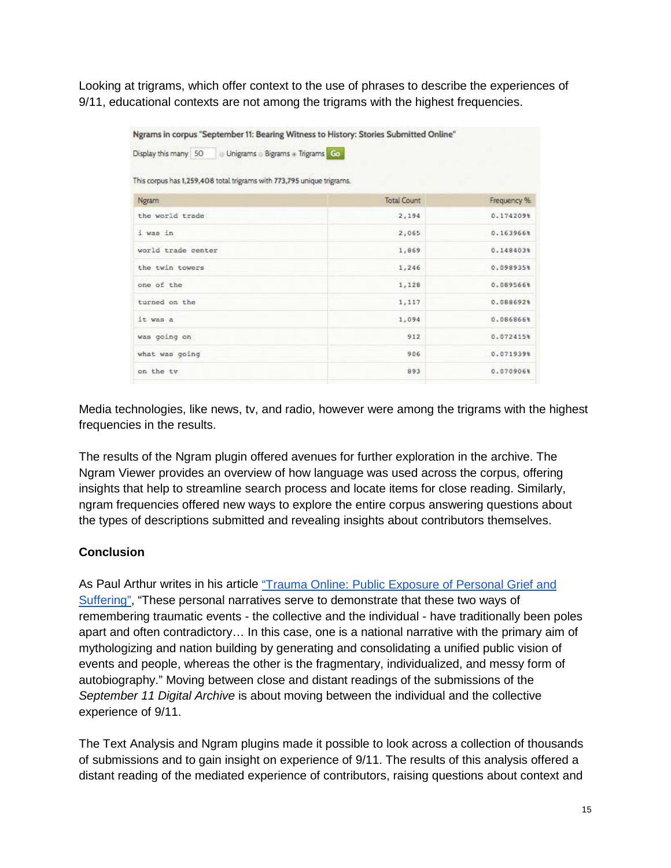Looking at trigrams, which offer context to the use of phrases to describe the experiences of 9/11, educational contexts are not among the trigrams with the highest frequencies.

| Display this many 50 Unigrams Bigrams + Trigrams Co                    |                    |             |
|------------------------------------------------------------------------|--------------------|-------------|
|                                                                        |                    |             |
| This corpus has 1,259,408 total trigrams with 773,795 unique trigrams. |                    |             |
| Ngram                                                                  | <b>Total Count</b> | Frequency % |
| the world trade                                                        | 2,194              | 0.1742098   |
| i was in                                                               | 2,065              | 0.163966%   |
| world trade center                                                     | 1,869              | 0.1484038   |
| the twin towers                                                        | 1,246              | 0.098935%   |
| one of the                                                             | 1,128              | 0.0895668   |
| turned on the                                                          | 1,117              | 0.088692%   |
| it was a                                                               | 1,094              | 0.086866%   |
| was going on                                                           | 912                | 0.0724158   |
| what was going                                                         | 906                | 0.0719398   |
| on the ty                                                              | 893                | 0.070906%   |

Media technologies, like news, tv, and radio, however were among the trigrams with the highest frequencies in the results.

The results of the Ngram plugin offered avenues for further exploration in the archive. The Ngram Viewer provides an overview of how language was used across the corpus, offering insights that help to streamline search process and locate items for close reading. Similarly, ngram frequencies offered new ways to explore the entire corpus answering questions about the types of descriptions submitted and revealing insights about contributors themselves.

### **Conclusion**

As Paul Arthur writes in his article "Trauma Online: Public Exposure of Personal Grief and [Suffering",](http://journals.sagepub.com/doi/abs/10.1177/1534765609350781) "These personal narratives serve to demonstrate that these two ways of remembering traumatic events - the collective and the individual - have traditionally been poles apart and often contradictory… In this case, one is a national narrative with the primary aim of mythologizing and nation building by generating and consolidating a unified public vision of events and people, whereas the other is the fragmentary, individualized, and messy form of autobiography." Moving between close and distant readings of the submissions of the *September 11 Digital Archive* is about moving between the individual and the collective experience of 9/11.

The Text Analysis and Ngram plugins made it possible to look across a collection of thousands of submissions and to gain insight on experience of 9/11. The results of this analysis offered a distant reading of the mediated experience of contributors, raising questions about context and